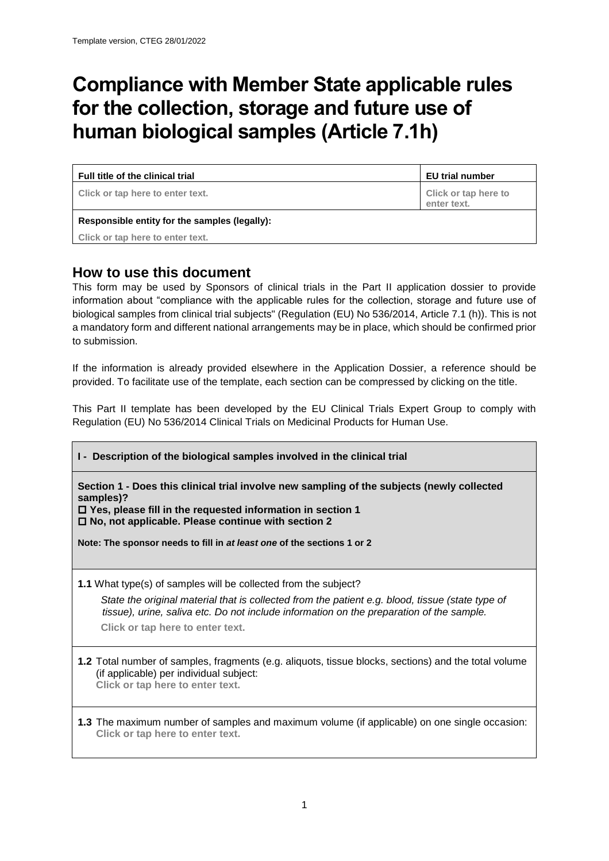# **Compliance with Member State applicable rules for the collection, storage and future use of human biological samples (Article 7.1h)**

**Full title of the clinical trial EU trial number**

**Click or tap here to enter text. Click or tap here to** 

**enter text.**

### **Responsible entity for the samples (legally):**

**Click or tap here to enter text.**

## **How to use this document**

This form may be used by Sponsors of clinical trials in the Part II application dossier to provide information about "compliance with the applicable rules for the collection, storage and future use of biological samples from clinical trial subjects" (Regulation (EU) No 536/2014, Article 7.1 (h)). This is not a mandatory form and different national arrangements may be in place, which should be confirmed prior to submission.

If the information is already provided elsewhere in the Application Dossier, a reference should be provided. To facilitate use of the template, each section can be compressed by clicking on the title.

This Part II template has been developed by the EU Clinical Trials Expert Group to comply with Regulation (EU) No 536/2014 Clinical Trials on Medicinal Products for Human Use.

## **I - Description of the biological samples involved in the clinical trial**

**Section 1 - Does this clinical trial involve new sampling of the subjects (newly collected samples)?**

 **Yes, please fill in the requested information in section 1 No, not applicable. Please continue with section 2**

**Note: The sponsor needs to fill in** *at least one* **of the sections 1 or 2** 

**1.1** What type(s) of samples will be collected from the subject?

*State the original material that is collected from the patient e.g. blood, tissue (state type of tissue), urine, saliva etc. Do not include information on the preparation of the sample.* **Click or tap here to enter text.**

**1.2** Total number of samples, fragments (e.g. aliquots, tissue blocks, sections) and the total volume (if applicable) per individual subject: **Click or tap here to enter text.**

**1.3** The maximum number of samples and maximum volume (if applicable) on one single occasion: **Click or tap here to enter text.**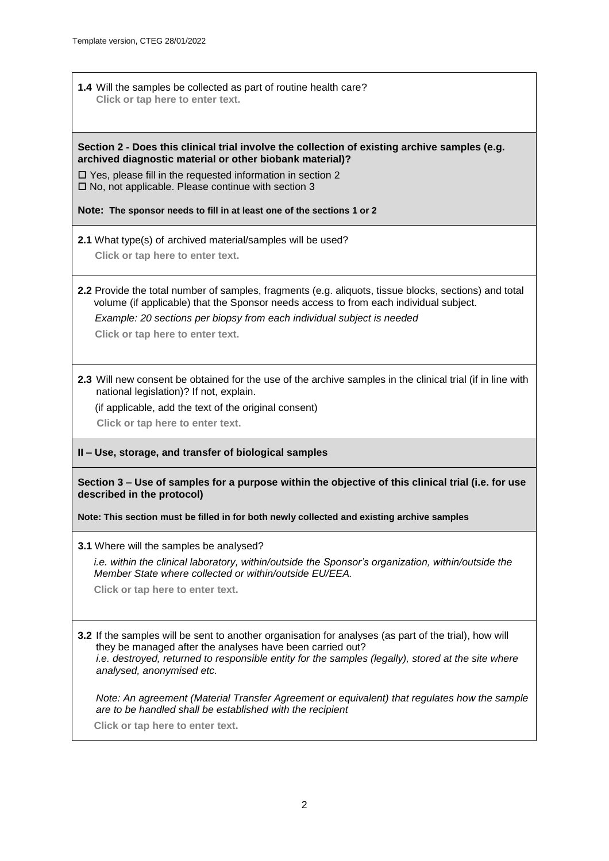**1.4** Will the samples be collected as part of routine health care? **Click or tap here to enter text.**

#### **Section 2 - Does this clinical trial involve the collection of existing archive samples (e.g. archived diagnostic material or other biobank material)?**

□ Yes, please fill in the requested information in section 2  $\square$  No, not applicable. Please continue with section 3

**Note: The sponsor needs to fill in at least one of the sections 1 or 2** 

**2.1** What type(s) of archived material/samples will be used?

**Click or tap here to enter text.**

**2.2** Provide the total number of samples, fragments (e.g. aliquots, tissue blocks, sections) and total volume (if applicable) that the Sponsor needs access to from each individual subject.

*Example: 20 sections per biopsy from each individual subject is needed*

**Click or tap here to enter text.**

**2.3** Will new consent be obtained for the use of the archive samples in the clinical trial (if in line with national legislation)? If not, explain.

(if applicable, add the text of the original consent)

**Click or tap here to enter text.**

#### **II – Use, storage, and transfer of biological samples**

**Section 3 – Use of samples for a purpose within the objective of this clinical trial (i.e. for use described in the protocol)**

**Note: This section must be filled in for both newly collected and existing archive samples**

**3.1** Where will the samples be analysed?

*i.e. within the clinical laboratory, within/outside the Sponsor's organization, within/outside the Member State where collected or within/outside EU/EEA.*

**Click or tap here to enter text.**

**3.2** If the samples will be sent to another organisation for analyses (as part of the trial), how will they be managed after the analyses have been carried out? *i.e. destroyed, returned to responsible entity for the samples (legally), stored at the site where analysed, anonymised etc.*

*Note: An agreement (Material Transfer Agreement or equivalent) that regulates how the sample are to be handled shall be established with the recipient* 

**Click or tap here to enter text.**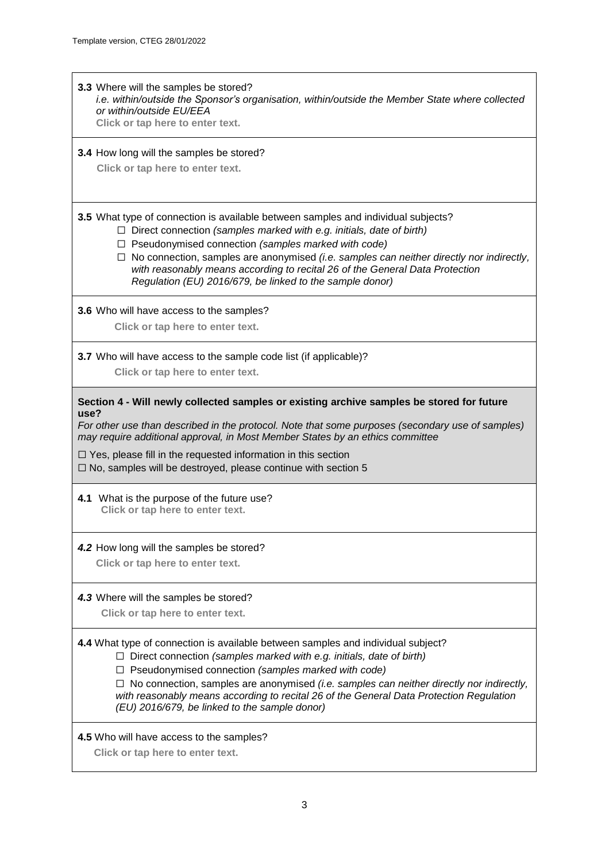| 3.3 Where will the samples be stored?<br>i.e. within/outside the Sponsor's organisation, within/outside the Member State where collected<br>or within/outside EU/EEA<br>Click or tap here to enter text.                                                                                                                                                                                                                                                                      |
|-------------------------------------------------------------------------------------------------------------------------------------------------------------------------------------------------------------------------------------------------------------------------------------------------------------------------------------------------------------------------------------------------------------------------------------------------------------------------------|
| 3.4 How long will the samples be stored?<br>Click or tap here to enter text.                                                                                                                                                                                                                                                                                                                                                                                                  |
| 3.5 What type of connection is available between samples and individual subjects?<br>$\Box$ Direct connection (samples marked with e.g. initials, date of birth)<br>$\Box$ Pseudonymised connection (samples marked with code)<br>$\Box$ No connection, samples are anonymised (i.e. samples can neither directly nor indirectly,<br>with reasonably means according to recital 26 of the General Data Protection<br>Regulation (EU) 2016/679, be linked to the sample donor) |
| 3.6 Who will have access to the samples?<br>Click or tap here to enter text.                                                                                                                                                                                                                                                                                                                                                                                                  |
| 3.7 Who will have access to the sample code list (if applicable)?<br>Click or tap here to enter text.                                                                                                                                                                                                                                                                                                                                                                         |
| Section 4 - Will newly collected samples or existing archive samples be stored for future<br>use?<br>For other use than described in the protocol. Note that some purposes (secondary use of samples)<br>may require additional approval, in Most Member States by an ethics committee<br>$\Box$ Yes, please fill in the requested information in this section<br>$\Box$ No, samples will be destroyed, please continue with section 5                                        |
| 4.1 What is the purpose of the future use?<br>Click or tap here to enter text.                                                                                                                                                                                                                                                                                                                                                                                                |
| 4.2 How long will the samples be stored?<br>Click or tap here to enter text.                                                                                                                                                                                                                                                                                                                                                                                                  |
| 4.3 Where will the samples be stored?<br>Click or tap here to enter text.                                                                                                                                                                                                                                                                                                                                                                                                     |
| 4.4 What type of connection is available between samples and individual subject?<br>$\Box$ Direct connection (samples marked with e.g. initials, date of birth)<br>$\Box$ Pseudonymised connection (samples marked with code)<br>No connection, samples are anonymised (i.e. samples can neither directly nor indirectly,<br>⊔.<br>with reasonably means according to recital 26 of the General Data Protection Regulation<br>(EU) 2016/679, be linked to the sample donor)   |
| 4.5 Who will have access to the samples?<br>Click or tap here to enter text.                                                                                                                                                                                                                                                                                                                                                                                                  |